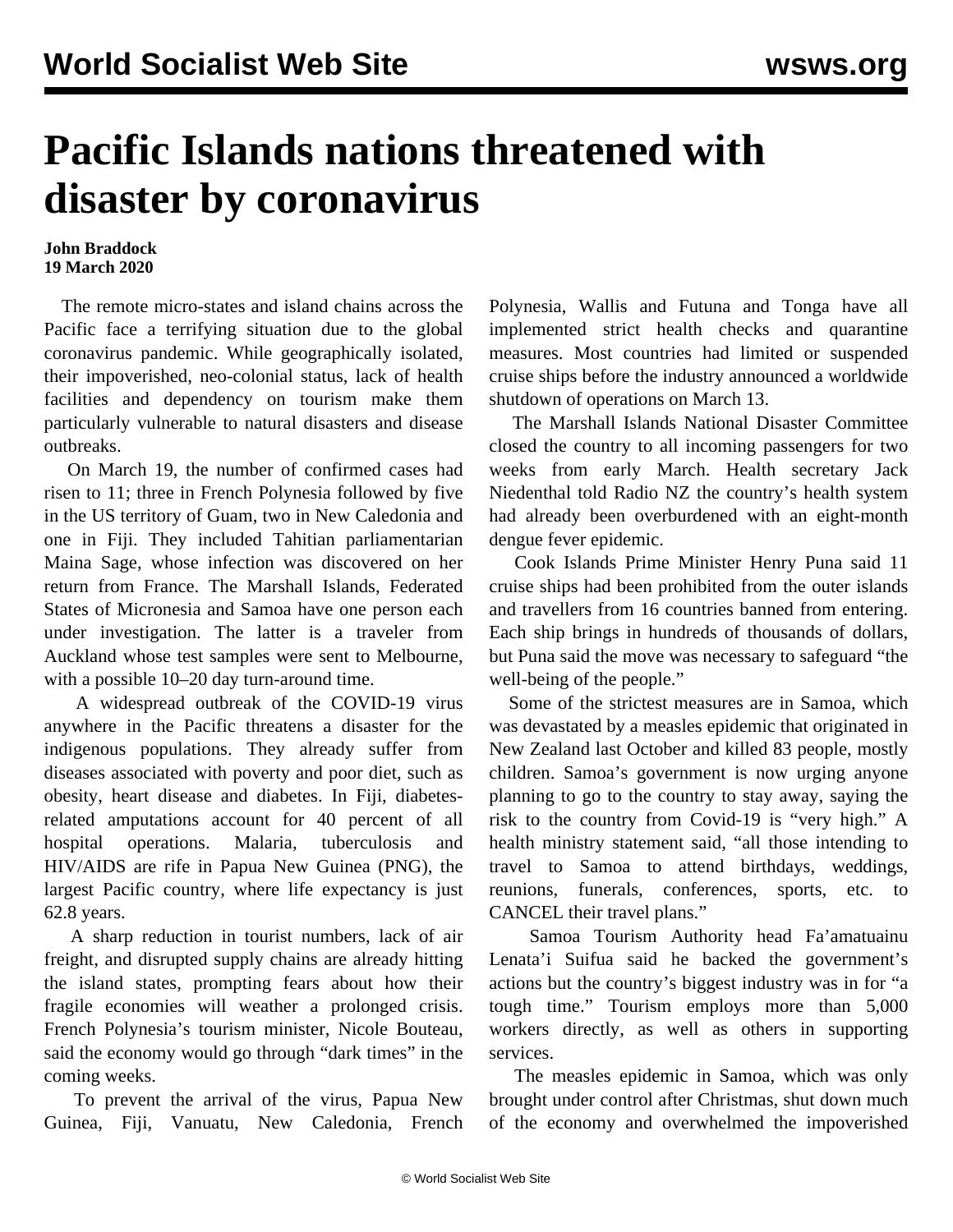## **Pacific Islands nations threatened with disaster by coronavirus**

## **John Braddock 19 March 2020**

 The remote micro-states and island chains across the Pacific face a terrifying situation due to the global coronavirus pandemic. While geographically isolated, their impoverished, neo-colonial status, lack of health facilities and dependency on tourism make them particularly vulnerable to natural disasters and disease outbreaks.

 On March 19, the number of confirmed cases had risen to 11; three in French Polynesia followed by five in the US territory of Guam, two in New Caledonia and one in Fiji. They included Tahitian parliamentarian Maina Sage, whose infection was discovered on her return from France. The Marshall Islands, Federated States of Micronesia and Samoa have one person each under investigation. The latter is a traveler from Auckland whose test samples were sent to Melbourne, with a possible 10–20 day turn-around time.

 A widespread outbreak of the COVID-19 virus anywhere in the Pacific threatens a disaster for the indigenous populations. They already suffer from diseases associated with poverty and poor diet, such as obesity, heart disease and diabetes. In Fiji, diabetesrelated amputations account for 40 percent of all hospital operations. Malaria, tuberculosis and HIV/AIDS are rife in Papua New Guinea (PNG), the largest Pacific country, where life expectancy is just 62.8 years.

 A sharp reduction in tourist numbers, lack of air freight, and disrupted supply chains are already hitting the island states, prompting fears about how their fragile economies will weather a prolonged crisis. French Polynesia's tourism minister, Nicole Bouteau, said the economy would go through "dark times" in the coming weeks.

 To prevent the arrival of the virus, Papua New Guinea, Fiji, Vanuatu, New Caledonia, French Polynesia, Wallis and Futuna and Tonga have all implemented strict health checks and quarantine measures. Most countries had limited or suspended cruise ships before the industry [announced](/en/articles/2020/03/16/crus-m16.html) a worldwide shutdown of operations on March 13.

 The Marshall Islands National Disaster Committee closed the country to all incoming passengers for two weeks from early March. Health secretary Jack Niedenthal told Radio NZ the country's health system had already been overburdened with an eight-month dengue fever epidemic.

 Cook Islands Prime Minister Henry Puna said 11 cruise ships had been prohibited from the outer islands and travellers from 16 countries banned from entering. Each ship brings in hundreds of thousands of dollars, but Puna said the move was necessary to safeguard "the well-being of the people."

 Some of the strictest measures are in Samoa, which was devastated by a [measles](/en/articles/2020/01/06/samo-j06.html) epidemic that originated in New Zealand last October and killed 83 people, mostly children. Samoa's government is now urging anyone planning to go to the country to stay away, saying the risk to the country from Covid-19 is "very high." A health ministry statement said, "all those intending to travel to Samoa to attend birthdays, weddings, reunions, funerals, conferences, sports, etc. to CANCEL their travel plans."

 Samoa Tourism Authority head Fa'amatuainu Lenata'i Suifua said he backed the government's actions but the country's biggest industry was in for "a tough time." Tourism employs more than 5,000 workers directly, as well as others in supporting services.

 The measles epidemic in Samoa, which was only brought under control after Christmas, shut down much of the economy and overwhelmed the impoverished